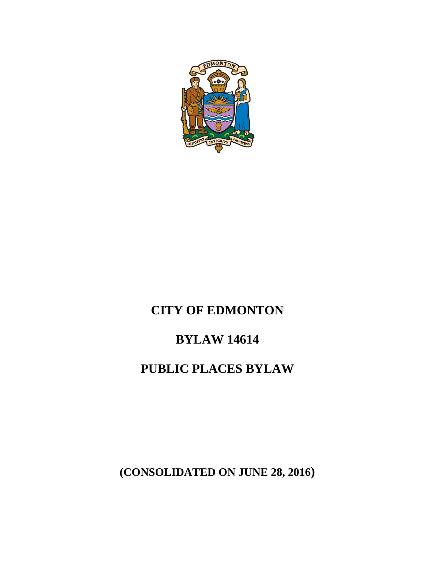

# **CITY OF EDMONTON**

## **BYLAW 14614**

## **PUBLIC PLACES BYLAW**

**(CONSOLIDATED ON JUNE 28, 2016)**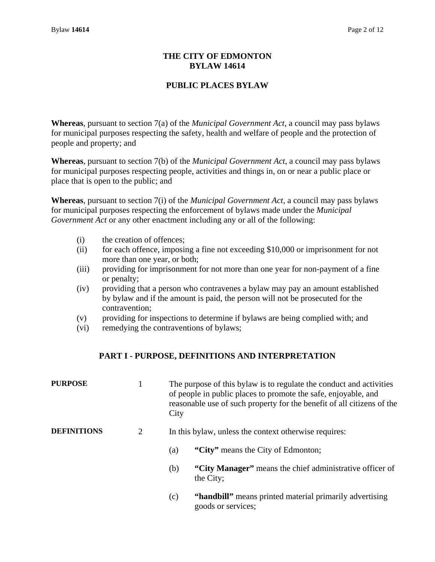### **THE CITY OF EDMONTON BYLAW 14614**

## **PUBLIC PLACES BYLAW**

**Whereas**, pursuant to section 7(a) of the *Municipal Government Act*, a council may pass bylaws for municipal purposes respecting the safety, health and welfare of people and the protection of people and property; and

**Whereas**, pursuant to section 7(b) of the *Municipal Government Act*, a council may pass bylaws for municipal purposes respecting people, activities and things in, on or near a public place or place that is open to the public; and

**Whereas**, pursuant to section 7(i) of the *Municipal Government Act,* a council may pass bylaws for municipal purposes respecting the enforcement of bylaws made under the *Municipal Government Act* or any other enactment including any or all of the following:

- (i) the creation of offences;
- (ii) for each offence, imposing a fine not exceeding \$10,000 or imprisonment for not more than one year, or both;
- (iii) providing for imprisonment for not more than one year for non-payment of a fine or penalty;
- (iv) providing that a person who contravenes a bylaw may pay an amount established by bylaw and if the amount is paid, the person will not be prosecuted for the contravention;
- (v) providing for inspections to determine if bylaws are being complied with; and
- (vi) remedying the contraventions of bylaws;

### **PART I - PURPOSE, DEFINITIONS AND INTERPRETATION**

| <b>PURPOSE</b>     |   | The purpose of this bylaw is to regulate the conduct and activities<br>of people in public places to promote the safe, enjoyable, and<br>reasonable use of such property for the benefit of all citizens of the<br>City |  |
|--------------------|---|-------------------------------------------------------------------------------------------------------------------------------------------------------------------------------------------------------------------------|--|
| <b>DEFINITIONS</b> | 2 | In this bylaw, unless the context otherwise requires:                                                                                                                                                                   |  |
|                    |   | "City" means the City of Edmonton;<br>(a)                                                                                                                                                                               |  |
|                    |   | "City Manager" means the chief administrative officer of<br>(b)<br>the City;                                                                                                                                            |  |
|                    |   | "handbill" means printed material primarily advertising<br>(c)                                                                                                                                                          |  |

goods or services;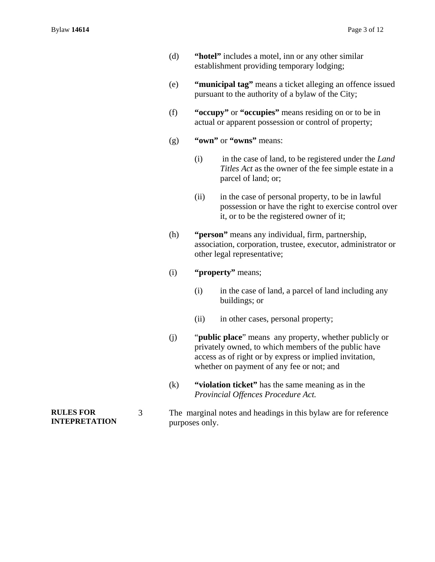- (d) **"hotel"** includes a motel, inn or any other similar establishment providing temporary lodging;
- (e) **"municipal tag"** means a ticket alleging an offence issued pursuant to the authority of a bylaw of the City;
- (f) **"occupy"** or **"occupies"** means residing on or to be in actual or apparent possession or control of property;
- (g) **"own"** or **"owns"** means:
	- (i) in the case of land, to be registered under the *Land Titles Act* as the owner of the fee simple estate in a parcel of land; or;
	- (ii) in the case of personal property, to be in lawful possession or have the right to exercise control over it, or to be the registered owner of it;
- (h) **"person"** means any individual, firm, partnership, association, corporation, trustee, executor, administrator or other legal representative;

#### (i) **"property"** means;

- (i) in the case of land, a parcel of land including any buildings; or
- (ii) in other cases, personal property;
- (j) "**public place**" means any property, whether publicly or privately owned, to which members of the public have access as of right or by express or implied invitation, whether on payment of any fee or not; and
- (k) **"violation ticket"** has the same meaning as in the *Provincial Offences Procedure Act.*

#### 3 The marginal notes and headings in this bylaw are for reference purposes only.

**RULES FOR INTEPRETATION**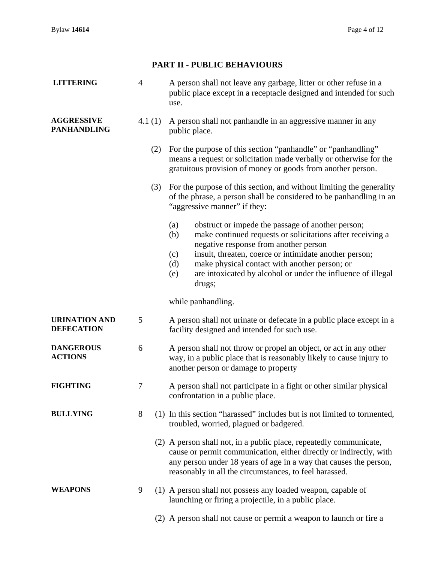## **PART II - PUBLIC BEHAVIOURS**

| <b>LITTERING</b>                          | $\overline{4}$ |     | A person shall not leave any garbage, litter or other refuse in a<br>public place except in a receptacle designed and intended for such<br>use.                                                                                                                                                                                                                                  |  |
|-------------------------------------------|----------------|-----|----------------------------------------------------------------------------------------------------------------------------------------------------------------------------------------------------------------------------------------------------------------------------------------------------------------------------------------------------------------------------------|--|
| <b>AGGRESSIVE</b><br><b>PANHANDLING</b>   | 4.1 $(1)$      |     | A person shall not panhandle in an aggressive manner in any<br>public place.                                                                                                                                                                                                                                                                                                     |  |
|                                           |                | (2) | For the purpose of this section "panhandle" or "panhandling"<br>means a request or solicitation made verbally or otherwise for the<br>gratuitous provision of money or goods from another person.                                                                                                                                                                                |  |
|                                           |                | (3) | For the purpose of this section, and without limiting the generality<br>of the phrase, a person shall be considered to be panhandling in an<br>"aggressive manner" if they:                                                                                                                                                                                                      |  |
|                                           |                |     | obstruct or impede the passage of another person;<br>(a)<br>make continued requests or solicitations after receiving a<br>(b)<br>negative response from another person<br>insult, threaten, coerce or intimidate another person;<br>(c)<br>make physical contact with another person; or<br>(d)<br>are intoxicated by alcohol or under the influence of illegal<br>(e)<br>drugs; |  |
|                                           |                |     | while panhandling.                                                                                                                                                                                                                                                                                                                                                               |  |
| <b>URINATION AND</b><br><b>DEFECATION</b> | 5              |     | A person shall not urinate or defecate in a public place except in a<br>facility designed and intended for such use.                                                                                                                                                                                                                                                             |  |
| <b>DANGEROUS</b><br><b>ACTIONS</b>        | 6              |     | A person shall not throw or propel an object, or act in any other<br>way, in a public place that is reasonably likely to cause injury to<br>another person or damage to property                                                                                                                                                                                                 |  |
| <b>FIGHTING</b>                           | 7              |     | A person shall not participate in a fight or other similar physical<br>confrontation in a public place.                                                                                                                                                                                                                                                                          |  |
| <b>BULLYING</b>                           | 8              |     | (1) In this section "harassed" includes but is not limited to tormented,<br>troubled, worried, plagued or badgered.                                                                                                                                                                                                                                                              |  |
|                                           |                |     | (2) A person shall not, in a public place, repeatedly communicate,<br>cause or permit communication, either directly or indirectly, with<br>any person under 18 years of age in a way that causes the person,<br>reasonably in all the circumstances, to feel harassed.                                                                                                          |  |
| <b>WEAPONS</b>                            | 9              |     | (1) A person shall not possess any loaded weapon, capable of<br>launching or firing a projectile, in a public place.                                                                                                                                                                                                                                                             |  |
|                                           |                |     | (2) A person shall not cause or permit a weapon to launch or fire a                                                                                                                                                                                                                                                                                                              |  |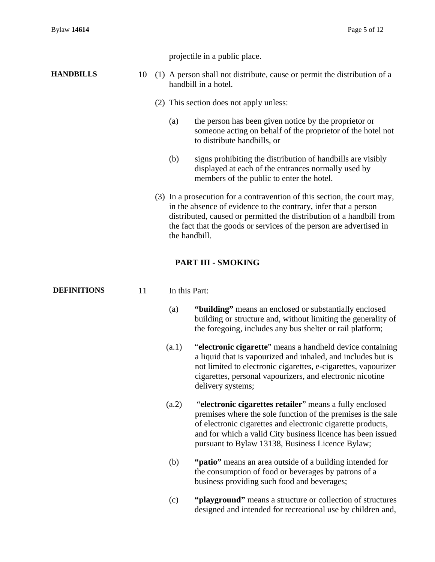projectile in a public place.

#### **HANDBILLS** 10 (1) A person shall not distribute, cause or permit the distribution of a handbill in a hotel.

- (2) This section does not apply unless:
	- (a) the person has been given notice by the proprietor or someone acting on behalf of the proprietor of the hotel not to distribute handbills, or
	- (b) signs prohibiting the distribution of handbills are visibly displayed at each of the entrances normally used by members of the public to enter the hotel.
- (3) In a prosecution for a contravention of this section, the court may, in the absence of evidence to the contrary, infer that a person distributed, caused or permitted the distribution of a handbill from the fact that the goods or services of the person are advertised in the handbill.

#### **PART III - SMOKING**

| <b>DEFINITIONS</b> | 11 | In this Part: |                                                                                                                                                                                                                                                                                                           |  |  |
|--------------------|----|---------------|-----------------------------------------------------------------------------------------------------------------------------------------------------------------------------------------------------------------------------------------------------------------------------------------------------------|--|--|
|                    |    | (a)           | "building" means an enclosed or substantially enclosed<br>building or structure and, without limiting the generality of<br>the foregoing, includes any bus shelter or rail platform;                                                                                                                      |  |  |
|                    |    | (a.1)         | "electronic cigarette" means a handheld device containing<br>a liquid that is vapourized and inhaled, and includes but is<br>not limited to electronic cigarettes, e-cigarettes, vapourizer<br>cigarettes, personal vapourizers, and electronic nicotine<br>delivery systems;                             |  |  |
|                    |    | (a.2)         | "electronic cigarettes retailer" means a fully enclosed<br>premises where the sole function of the premises is the sale<br>of electronic cigarettes and electronic cigarette products,<br>and for which a valid City business licence has been issued<br>pursuant to Bylaw 13138, Business Licence Bylaw; |  |  |
|                    |    | (b)           | "patio" means an area outside of a building intended for<br>the consumption of food or beverages by patrons of a<br>business providing such food and beverages;                                                                                                                                           |  |  |
|                    |    | (c)           | "playground" means a structure or collection of structures<br>designed and intended for recreational use by children and,                                                                                                                                                                                 |  |  |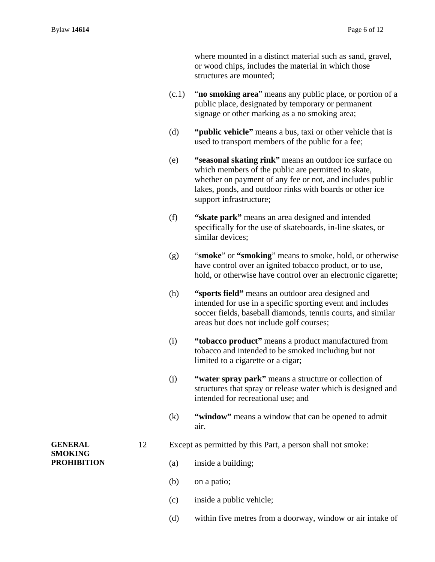where mounted in a distinct material such as sand, gravel, or wood chips, includes the material in which those structures are mounted;

- (c.1) "**no smoking area**" means any public place, or portion of a public place, designated by temporary or permanent signage or other marking as a no smoking area;
- (d) **"public vehicle"** means a bus, taxi or other vehicle that is used to transport members of the public for a fee;
- (e) **"seasonal skating rink"** means an outdoor ice surface on which members of the public are permitted to skate, whether on payment of any fee or not, and includes public lakes, ponds, and outdoor rinks with boards or other ice support infrastructure;
- (f) **"skate park"** means an area designed and intended specifically for the use of skateboards, in-line skates, or similar devices;
- (g) "**smoke**" or **"smoking**" means to smoke, hold, or otherwise have control over an ignited tobacco product, or to use, hold, or otherwise have control over an electronic cigarette;
- (h) **"sports field"** means an outdoor area designed and intended for use in a specific sporting event and includes soccer fields, baseball diamonds, tennis courts, and similar areas but does not include golf courses;
- (i) **"tobacco product"** means a product manufactured from tobacco and intended to be smoked including but not limited to a cigarette or a cigar;
- (j) **"water spray park"** means a structure or collection of structures that spray or release water which is designed and intended for recreational use; and
- (k) **"window"** means a window that can be opened to admit air.
- 12 Except as permitted by this Part, a person shall not smoke:
	- (a) inside a building;
	- (b) on a patio;
	- (c) inside a public vehicle;
	- (d) within five metres from a doorway, window or air intake of

#### **GENERAL SMOKING PROHIBITION**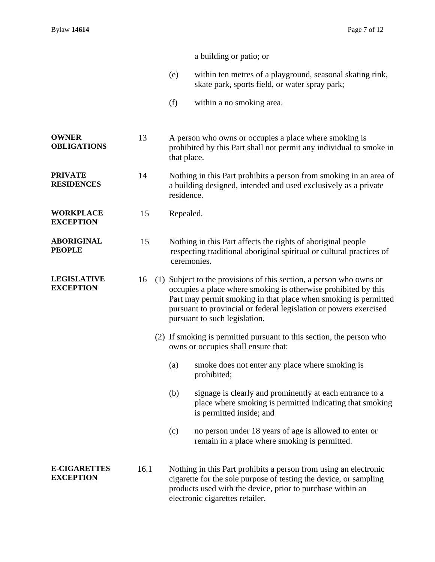|                                         |      | a building or patio; or                                                                                                                                                                                                                                                                                        |  |
|-----------------------------------------|------|----------------------------------------------------------------------------------------------------------------------------------------------------------------------------------------------------------------------------------------------------------------------------------------------------------------|--|
|                                         |      | within ten metres of a playground, seasonal skating rink,<br>(e)<br>skate park, sports field, or water spray park;                                                                                                                                                                                             |  |
|                                         |      | (f)<br>within a no smoking area.                                                                                                                                                                                                                                                                               |  |
| <b>OWNER</b><br><b>OBLIGATIONS</b>      | 13   | A person who owns or occupies a place where smoking is<br>prohibited by this Part shall not permit any individual to smoke in<br>that place.                                                                                                                                                                   |  |
| <b>PRIVATE</b><br><b>RESIDENCES</b>     | 14   | Nothing in this Part prohibits a person from smoking in an area of<br>a building designed, intended and used exclusively as a private<br>residence.                                                                                                                                                            |  |
| <b>WORKPLACE</b><br><b>EXCEPTION</b>    | 15   | Repealed.                                                                                                                                                                                                                                                                                                      |  |
| <b>ABORIGINAL</b><br><b>PEOPLE</b>      | 15   | Nothing in this Part affects the rights of aboriginal people<br>respecting traditional aboriginal spiritual or cultural practices of<br>ceremonies.                                                                                                                                                            |  |
| <b>LEGISLATIVE</b><br><b>EXCEPTION</b>  | 16   | (1) Subject to the provisions of this section, a person who owns or<br>occupies a place where smoking is otherwise prohibited by this<br>Part may permit smoking in that place when smoking is permitted<br>pursuant to provincial or federal legislation or powers exercised<br>pursuant to such legislation. |  |
|                                         |      | (2) If smoking is permitted pursuant to this section, the person who<br>owns or occupies shall ensure that:                                                                                                                                                                                                    |  |
|                                         |      | smoke does not enter any place where smoking is<br>(a)<br>prohibited;                                                                                                                                                                                                                                          |  |
|                                         |      | signage is clearly and prominently at each entrance to a<br>(b)<br>place where smoking is permitted indicating that smoking<br>is permitted inside; and                                                                                                                                                        |  |
|                                         |      | (c)<br>no person under 18 years of age is allowed to enter or<br>remain in a place where smoking is permitted.                                                                                                                                                                                                 |  |
| <b>E-CIGARETTES</b><br><b>EXCEPTION</b> | 16.1 | Nothing in this Part prohibits a person from using an electronic<br>cigarette for the sole purpose of testing the device, or sampling<br>products used with the device, prior to purchase within an<br>electronic cigarettes retailer.                                                                         |  |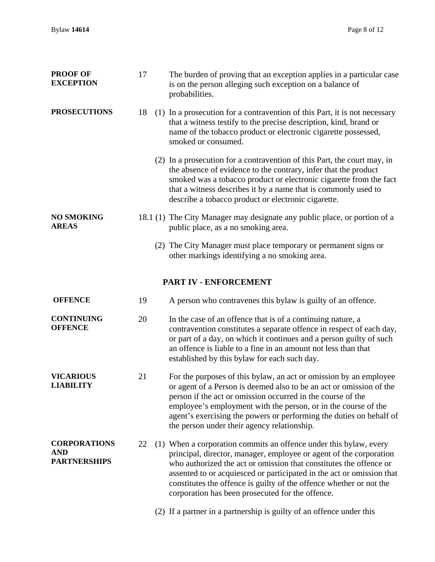| <b>PROOF OF</b><br><b>EXCEPTION</b>                      | 17 |  | The burden of proving that an exception applies in a particular case<br>is on the person alleging such exception on a balance of<br>probabilities.                                                                                                                                                                                                                                                                |
|----------------------------------------------------------|----|--|-------------------------------------------------------------------------------------------------------------------------------------------------------------------------------------------------------------------------------------------------------------------------------------------------------------------------------------------------------------------------------------------------------------------|
| <b>PROSECUTIONS</b>                                      | 18 |  | (1) In a prosecution for a contravention of this Part, it is not necessary<br>that a witness testify to the precise description, kind, brand or<br>name of the tobacco product or electronic cigarette possessed,<br>smoked or consumed.                                                                                                                                                                          |
|                                                          |    |  | (2) In a prosecution for a contravention of this Part, the court may, in<br>the absence of evidence to the contrary, infer that the product<br>smoked was a tobacco product or electronic cigarette from the fact<br>that a witness describes it by a name that is commonly used to<br>describe a tobacco product or electronic cigarette.                                                                        |
| <b>NO SMOKING</b><br><b>AREAS</b>                        |    |  | 18.1 (1) The City Manager may designate any public place, or portion of a<br>public place, as a no smoking area.                                                                                                                                                                                                                                                                                                  |
|                                                          |    |  | (2) The City Manager must place temporary or permanent signs or<br>other markings identifying a no smoking area.                                                                                                                                                                                                                                                                                                  |
|                                                          |    |  | PART IV - ENFORCEMENT                                                                                                                                                                                                                                                                                                                                                                                             |
| <b>OFFENCE</b>                                           | 19 |  | A person who contravenes this bylaw is guilty of an offence.                                                                                                                                                                                                                                                                                                                                                      |
| <b>CONTINUING</b><br><b>OFFENCE</b>                      | 20 |  | In the case of an offence that is of a continuing nature, a<br>contravention constitutes a separate offence in respect of each day,<br>or part of a day, on which it continues and a person guilty of such<br>an offence is liable to a fine in an amount not less than that<br>established by this bylaw for each such day.                                                                                      |
| <b>VICARIOUS</b><br><b>LIABILITY</b>                     | 21 |  | For the purposes of this bylaw, an act or omission by an employee<br>or agent of a Person is deemed also to be an act or omission of the<br>person if the act or omission occurred in the course of the<br>employee's employment with the person, or in the course of the<br>agent's exercising the powers or performing the duties on behalf of<br>the person under their agency relationship.                   |
| <b>CORPORATIONS</b><br><b>AND</b><br><b>PARTNERSHIPS</b> | 22 |  | (1) When a corporation commits an offence under this bylaw, every<br>principal, director, manager, employee or agent of the corporation<br>who authorized the act or omission that constitutes the offence or<br>assented to or acquiesced or participated in the act or omission that<br>constitutes the offence is guilty of the offence whether or not the<br>corporation has been prosecuted for the offence. |
|                                                          |    |  | (2) If a partner in a partnership is guilty of an offence under this                                                                                                                                                                                                                                                                                                                                              |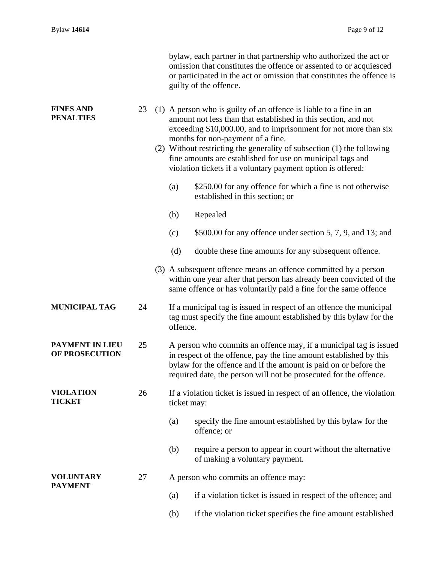|                                      |    | bylaw, each partner in that partnership who authorized the act or<br>omission that constitutes the offence or assented to or acquiesced<br>or participated in the act or omission that constitutes the offence is<br>guilty of the offence.                                                                                                                                                                                                          |
|--------------------------------------|----|------------------------------------------------------------------------------------------------------------------------------------------------------------------------------------------------------------------------------------------------------------------------------------------------------------------------------------------------------------------------------------------------------------------------------------------------------|
| <b>FINES AND</b><br><b>PENALTIES</b> | 23 | (1) A person who is guilty of an offence is liable to a fine in an<br>amount not less than that established in this section, and not<br>exceeding \$10,000.00, and to imprisonment for not more than six<br>months for non-payment of a fine.<br>(2) Without restricting the generality of subsection (1) the following<br>fine amounts are established for use on municipal tags and<br>violation tickets if a voluntary payment option is offered: |
|                                      |    | \$250.00 for any offence for which a fine is not otherwise<br>(a)<br>established in this section; or                                                                                                                                                                                                                                                                                                                                                 |
|                                      |    | Repealed<br>(b)                                                                                                                                                                                                                                                                                                                                                                                                                                      |
|                                      |    | \$500.00 for any offence under section 5, 7, 9, and 13; and<br>(c)                                                                                                                                                                                                                                                                                                                                                                                   |
|                                      |    | (d)<br>double these fine amounts for any subsequent offence.                                                                                                                                                                                                                                                                                                                                                                                         |
|                                      |    | (3) A subsequent offence means an offence committed by a person<br>within one year after that person has already been convicted of the<br>same offence or has voluntarily paid a fine for the same offence                                                                                                                                                                                                                                           |
| <b>MUNICIPAL TAG</b>                 | 24 | If a municipal tag is issued in respect of an offence the municipal<br>tag must specify the fine amount established by this bylaw for the<br>offence.                                                                                                                                                                                                                                                                                                |
| PAYMENT IN LIEU<br>OF PROSECUTION    | 25 | A person who commits an offence may, if a municipal tag is issued<br>in respect of the offence, pay the fine amount established by this<br>bylaw for the offence and if the amount is paid on or before the<br>required date, the person will not be prosecuted for the offence.                                                                                                                                                                     |
| <b>VIOLATION</b><br><b>TICKET</b>    | 26 | If a violation ticket is issued in respect of an offence, the violation<br>ticket may:                                                                                                                                                                                                                                                                                                                                                               |
|                                      |    | specify the fine amount established by this bylaw for the<br>(a)<br>offence; or                                                                                                                                                                                                                                                                                                                                                                      |
|                                      |    | require a person to appear in court without the alternative<br>(b)<br>of making a voluntary payment.                                                                                                                                                                                                                                                                                                                                                 |
| <b>VOLUNTARY</b><br><b>PAYMENT</b>   | 27 | A person who commits an offence may:                                                                                                                                                                                                                                                                                                                                                                                                                 |
|                                      |    | if a violation ticket is issued in respect of the offence; and<br>(a)                                                                                                                                                                                                                                                                                                                                                                                |
|                                      |    | if the violation ticket specifies the fine amount established<br>(b)                                                                                                                                                                                                                                                                                                                                                                                 |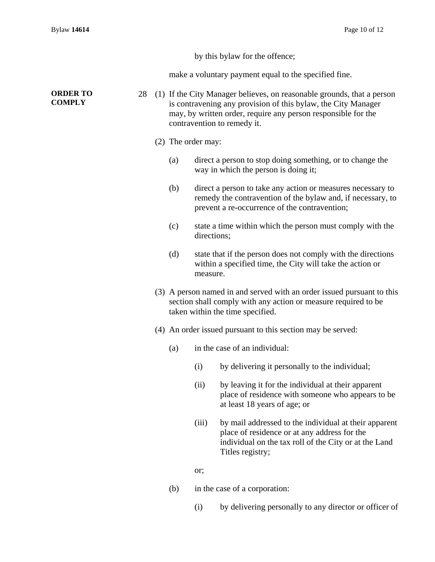by this bylaw for the offence;

make a voluntary payment equal to the specified fine.

#### **ORDER TO COMPLY**

- 28 (1) If the City Manager believes, on reasonable grounds, that a person is contravening any provision of this bylaw, the City Manager may, by written order, require any person responsible for the contravention to remedy it.
	- (2) The order may:
		- (a) direct a person to stop doing something, or to change the way in which the person is doing it;
		- (b) direct a person to take any action or measures necessary to remedy the contravention of the bylaw and, if necessary, to prevent a re-occurrence of the contravention;
		- (c) state a time within which the person must comply with the directions;
		- (d) state that if the person does not comply with the directions within a specified time, the City will take the action or measure.
	- (3) A person named in and served with an order issued pursuant to this section shall comply with any action or measure required to be taken within the time specified.
	- (4) An order issued pursuant to this section may be served:
		- (a) in the case of an individual:
			- (i) by delivering it personally to the individual;
			- (ii) by leaving it for the individual at their apparent place of residence with someone who appears to be at least 18 years of age; or
			- (iii) by mail addressed to the individual at their apparent place of residence or at any address for the individual on the tax roll of the City or at the Land Titles registry;

or;

- (b) in the case of a corporation:
	- (i) by delivering personally to any director or officer of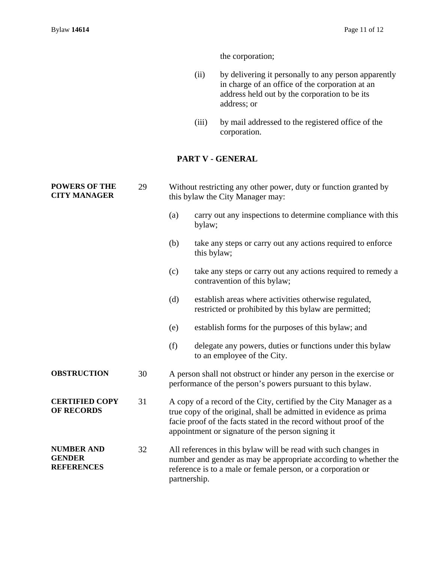the corporation;

- (ii) by delivering it personally to any person apparently in charge of an office of the corporation at an address held out by the corporation to be its address; or
- (iii) by mail addressed to the registered office of the corporation.

### **PART V - GENERAL**

| <b>POWERS OF THE</b><br><b>CITY MANAGER</b>             | 29 | Without restricting any other power, duty or function granted by<br>this bylaw the City Manager may:                                                                                                                                                               |                                                                                                                                   |
|---------------------------------------------------------|----|--------------------------------------------------------------------------------------------------------------------------------------------------------------------------------------------------------------------------------------------------------------------|-----------------------------------------------------------------------------------------------------------------------------------|
|                                                         |    | (a)                                                                                                                                                                                                                                                                | carry out any inspections to determine compliance with this<br>bylaw;                                                             |
|                                                         |    | (b)                                                                                                                                                                                                                                                                | take any steps or carry out any actions required to enforce<br>this bylaw;                                                        |
|                                                         |    | (c)                                                                                                                                                                                                                                                                | take any steps or carry out any actions required to remedy a<br>contravention of this bylaw;                                      |
|                                                         |    | (d)                                                                                                                                                                                                                                                                | establish areas where activities otherwise regulated,<br>restricted or prohibited by this bylaw are permitted;                    |
|                                                         |    | (e)                                                                                                                                                                                                                                                                | establish forms for the purposes of this bylaw; and                                                                               |
|                                                         |    | (f)                                                                                                                                                                                                                                                                | delegate any powers, duties or functions under this by law<br>to an employee of the City.                                         |
| <b>OBSTRUCTION</b>                                      | 30 |                                                                                                                                                                                                                                                                    | A person shall not obstruct or hinder any person in the exercise or<br>performance of the person's powers pursuant to this bylaw. |
| <b>CERTIFIED COPY</b><br><b>OF RECORDS</b>              | 31 | A copy of a record of the City, certified by the City Manager as a<br>true copy of the original, shall be admitted in evidence as prima<br>facie proof of the facts stated in the record without proof of the<br>appointment or signature of the person signing it |                                                                                                                                   |
| <b>NUMBER AND</b><br><b>GENDER</b><br><b>REFERENCES</b> | 32 | All references in this bylaw will be read with such changes in<br>number and gender as may be appropriate according to whether the<br>reference is to a male or female person, or a corporation or<br>partnership.                                                 |                                                                                                                                   |